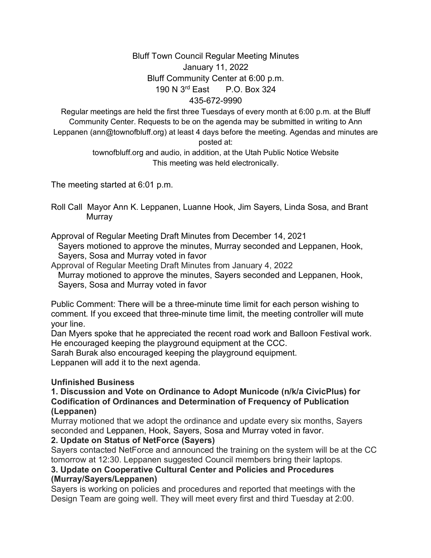# Bluff Town Council Regular Meeting Minutes January 11, 2022 Bluff Community Center at 6:00 p.m. 190 N 3rd East P.O. Box 324 435-672-9990

Regular meetings are held the first three Tuesdays of every month at 6:00 p.m. at the Bluff Community Center. Requests to be on the agenda may be submitted in writing to Ann Leppanen (ann@townofbluff.org) at least 4 days before the meeting. Agendas and minutes are posted at:

> townofbluff.org and audio, in addition, at the Utah Public Notice Website This meeting was held electronically.

The meeting started at 6:01 p.m.

Roll Call Mayor Ann K. Leppanen, Luanne Hook, Jim Sayers, Linda Sosa, and Brant **Murray** 

Approval of Regular Meeting Draft Minutes from December 14, 2021

 Sayers motioned to approve the minutes, Murray seconded and Leppanen, Hook, Sayers, Sosa and Murray voted in favor

Approval of Regular Meeting Draft Minutes from January 4, 2022

 Murray motioned to approve the minutes, Sayers seconded and Leppanen, Hook, Sayers, Sosa and Murray voted in favor

Public Comment: There will be a three-minute time limit for each person wishing to comment. If you exceed that three-minute time limit, the meeting controller will mute your line.

Dan Myers spoke that he appreciated the recent road work and Balloon Festival work. He encouraged keeping the playground equipment at the CCC.

Sarah Burak also encouraged keeping the playground equipment.

Leppanen will add it to the next agenda.

# **Unfinished Business**

#### **1. Discussion and Vote on Ordinance to Adopt Municode (n/k/a CivicPlus) for Codification of Ordinances and Determination of Frequency of Publication (Leppanen)**

Murray motioned that we adopt the ordinance and update every six months, Sayers seconded and Leppanen, Hook, Sayers, Sosa and Murray voted in favor.

# **2. Update on Status of NetForce (Sayers)**

Sayers contacted NetForce and announced the training on the system will be at the CC tomorrow at 12:30. Leppanen suggested Council members bring their laptops.

# **3. Update on Cooperative Cultural Center and Policies and Procedures (Murray/Sayers/Leppanen)**

Sayers is working on policies and procedures and reported that meetings with the Design Team are going well. They will meet every first and third Tuesday at 2:00.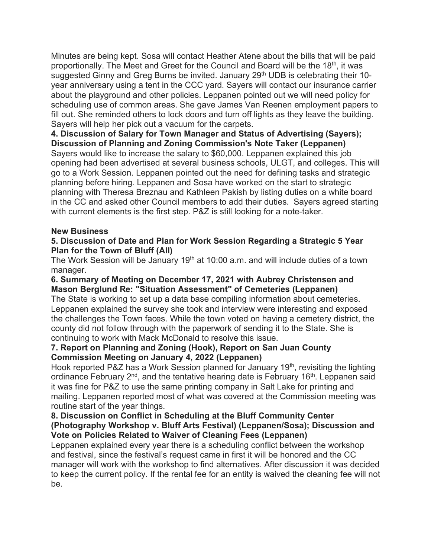Minutes are being kept. Sosa will contact Heather Atene about the bills that will be paid proportionally. The Meet and Greet for the Council and Board will be the 18<sup>th</sup>, it was suggested Ginny and Greg Burns be invited. January 29<sup>th</sup> UDB is celebrating their 10year anniversary using a tent in the CCC yard. Sayers will contact our insurance carrier about the playground and other policies. Leppanen pointed out we will need policy for scheduling use of common areas. She gave James Van Reenen employment papers to fill out. She reminded others to lock doors and turn off lights as they leave the building. Sayers will help her pick out a vacuum for the carpets.

**4. Discussion of Salary for Town Manager and Status of Advertising (Sayers); Discussion of Planning and Zoning Commission's Note Taker (Leppanen)**

Sayers would like to increase the salary to \$60,000. Leppanen explained this job opening had been advertised at several business schools, ULGT, and colleges. This will go to a Work Session. Leppanen pointed out the need for defining tasks and strategic planning before hiring. Leppanen and Sosa have worked on the start to strategic planning with Theresa Breznau and Kathleen Pakish by listing duties on a white board in the CC and asked other Council members to add their duties. Sayers agreed starting with current elements is the first step. P&Z is still looking for a note-taker.

#### **New Business**

#### **5. Discussion of Date and Plan for Work Session Regarding a Strategic 5 Year Plan for the Town of Bluff (All)**

The Work Session will be January  $19<sup>th</sup>$  at 10:00 a.m. and will include duties of a town manager.

#### **6. Summary of Meeting on December 17, 2021 with Aubrey Christensen and Mason Berglund Re: "Situation Assessment" of Cemeteries (Leppanen)**

The State is working to set up a data base compiling information about cemeteries. Leppanen explained the survey she took and interview were interesting and exposed the challenges the Town faces. While the town voted on having a cemetery district, the county did not follow through with the paperwork of sending it to the State. She is continuing to work with Mack McDonald to resolve this issue.

#### **7. Report on Planning and Zoning (Hook), Report on San Juan County Commission Meeting on January 4, 2022 (Leppanen)**

Hook reported P&Z has a Work Session planned for January 19<sup>th</sup>, revisiting the lighting ordinance February 2<sup>nd</sup>, and the tentative hearing date is February 16<sup>th</sup>. Leppanen said it was fine for P&Z to use the same printing company in Salt Lake for printing and mailing. Leppanen reported most of what was covered at the Commission meeting was routine start of the year things.

#### **8. Discussion on Conflict in Scheduling at the Bluff Community Center (Photography Workshop v. Bluff Arts Festival) (Leppanen/Sosa); Discussion and Vote on Policies Related to Waiver of Cleaning Fees (Leppanen)**

Leppanen explained every year there is a scheduling conflict between the workshop and festival, since the festival's request came in first it will be honored and the CC manager will work with the workshop to find alternatives. After discussion it was decided to keep the current policy. If the rental fee for an entity is waived the cleaning fee will not be.